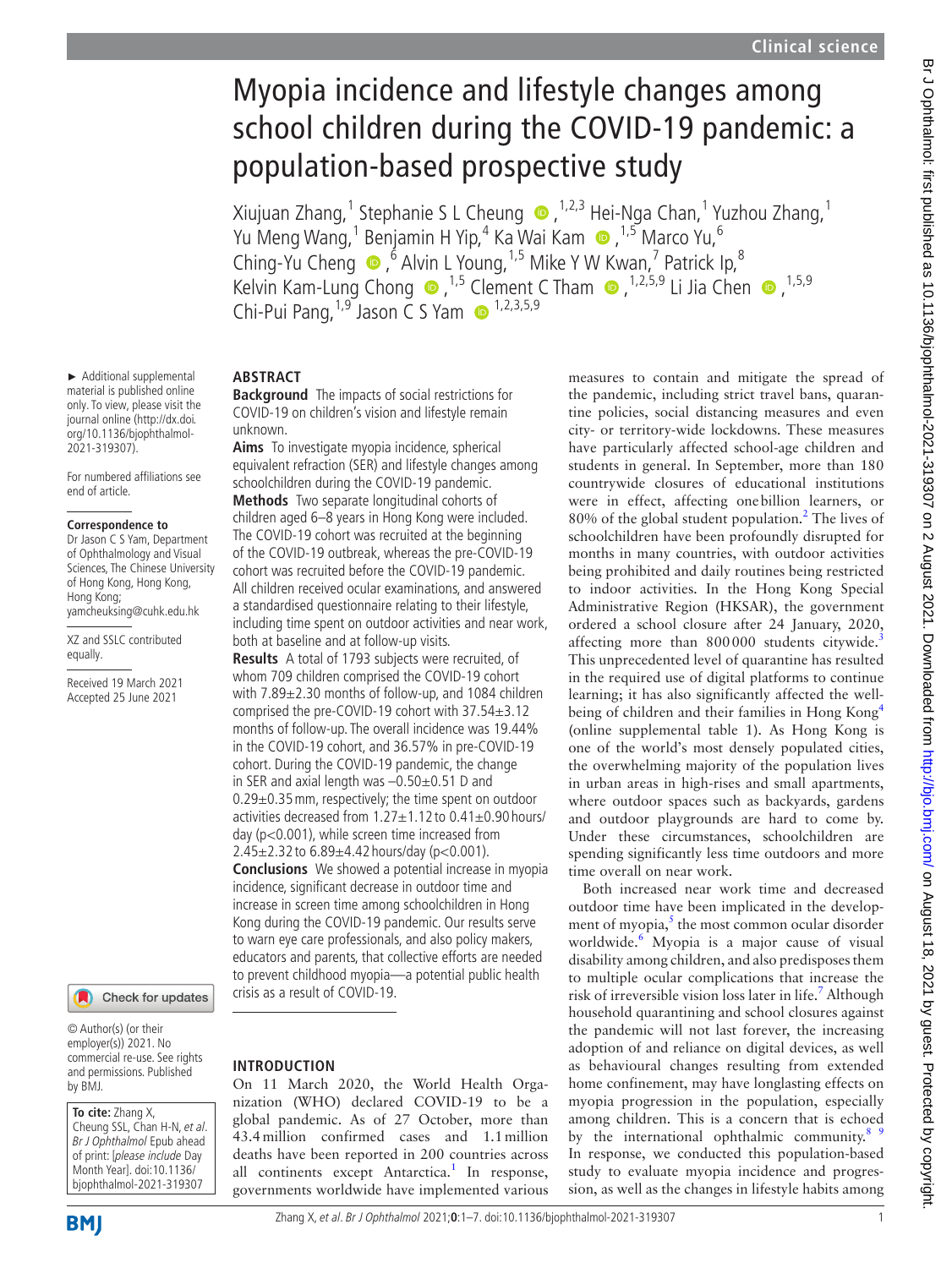# Myopia incidence and lifestyle changes among school children during the COVID-19 pandemic: a population-based prospective study

Xiujuan Zhang,<sup>1</sup> Stephanie S L Cheung (D, <sup>1,2,3</sup> Hei-Nga Chan,<sup>1</sup> Yuzhou Zhang,<sup>1</sup> Yu Meng Wang,<sup>1</sup> Benjamin H Yip,<sup>4</sup> Ka Wai Kam,1,5 Marco Yu,6 Ching-Yu Cheng  $\bullet$ ,  $\bullet$  Alvin L Young, <sup>1,5</sup> Mike Y W Kwan, <sup>7</sup> Patrick Ip, <sup>8</sup> KelvinKam-Lung Chong  $\bullet$  ,<sup>1,5</sup> Clement C Tham  $\bullet$  ,<sup>1,2,5,9</sup> Li Jia Chen  $\bullet$  ,<sup>1,5,9</sup> Chi-Pui Pang,  $1.9$  Jason C S Yam  $\bullet$  1,2,3,5,9

► Additional supplemental material is published online only. To view, please visit the journal online ([http://dx.doi.](http://dx.doi.org/10.1136/bjophthalmol-2021-319307) [org/10.1136/bjophthalmol-](http://dx.doi.org/10.1136/bjophthalmol-2021-319307)[2021-319307\)](http://dx.doi.org/10.1136/bjophthalmol-2021-319307).

For numbered affiliations see end of article.

#### **Correspondence to**

Dr Jason C S Yam, Department of Ophthalmology and Visual Sciences, The Chinese University of Hong Kong, Hong Kong, Hong Kong; yamcheuksing@cuhk.edu.hk

XZ and SSLC contributed equally.

Received 19 March 2021 Accepted 25 June 2021

#### Check for updates

© Author(s) (or their employer(s)) 2021. No commercial re-use. See rights and permissions. Published by BMJ.

# **To cite:** Zhang X,

Cheung SSL, Chan H-N, et al. Br J Ophthalmol Epub ahead of print: [please include Day Month Year]. doi:10.1136/ bjophthalmol-2021-319307

**BMI** 

# **ABSTRACT**

**Background** The impacts of social restrictions for COVID-19 on children's vision and lifestyle remain unknown.

**Aims** To investigate myopia incidence, spherical equivalent refraction (SER) and lifestyle changes among schoolchildren during the COVID-19 pandemic. **Methods** Two separate longitudinal cohorts of children aged 6–8 years in Hong Kong were included. The COVID-19 cohort was recruited at the beginning of the COVID-19 outbreak, whereas the pre-COVID-19 cohort was recruited before the COVID-19 pandemic. All children received ocular examinations, and answered a standardised questionnaire relating to their lifestyle, including time spent on outdoor activities and near work, both at baseline and at follow-up visits.

**Results** A total of 1793 subjects were recruited, of whom 709 children comprised the COVID-19 cohort with 7.89±2.30 months of follow-up, and 1084 children comprised the pre-COVID-19 cohort with 37.54±3.12 months of follow-up. The overall incidence was 19.44% in the COVID-19 cohort, and 36.57% in pre-COVID-19 cohort. During the COVID-19 pandemic, the change in SER and axial length was –0.50±0.51 D and 0.29±0.35mm, respectively; the time spent on outdoor activities decreased from 1.27±1.12 to 0.41±0.90 hours/ day (p<0.001), while screen time increased from 2.45±2.32 to 6.89±4.42 hours/day (p<0.001). **Conclusions** We showed a potential increase in myopia incidence, significant decrease in outdoor time and increase in screen time among schoolchildren in Hong Kong during the COVID-19 pandemic. Our results serve to warn eye care professionals, and also policy makers, educators and parents, that collective efforts are needed to prevent childhood myopia—a potential public health crisis as a result of COVID-19.

## **INTRODUCTION**

On 11 March 2020, the World Health Organization (WHO) declared COVID-19 to be a global pandemic. As of 27 October, more than 43.4million confirmed cases and 1.1million deaths have been reported in 200 countries across all continents except Antarctica.<sup>1</sup> In response, governments worldwide have implemented various

measures to contain and mitigate the spread of the pandemic, including strict travel bans, quarantine policies, social distancing measures and even city- or territory-wide lockdowns. These measures have particularly affected school-age children and students in general. In September, more than 180 countrywide closures of educational institutions were in effect, affecting onebillion learners, or 80% of the global student population.<sup>[2](#page-5-1)</sup> The lives of schoolchildren have been profoundly disrupted for months in many countries, with outdoor activities being prohibited and daily routines being restricted to indoor activities. In the Hong Kong Special Administrative Region (HKSAR), the government ordered a school closure after 24 January, 2020, affecting more than  $800000$  students citywide.<sup>[3](#page-5-2)</sup> This unprecedented level of quarantine has resulted in the required use of digital platforms to continue learning; it has also significantly affected the well-being of children and their families in Hong Kong<sup>[4](#page-5-3)</sup> ([online supplemental table 1](https://dx.doi.org/10.1136/bjophthalmol-2021-319307)). As Hong Kong is one of the world's most densely populated cities, the overwhelming majority of the population lives in urban areas in high-rises and small apartments, where outdoor spaces such as backyards, gardens and outdoor playgrounds are hard to come by. Under these circumstances, schoolchildren are spending significantly less time outdoors and more time overall on near work.

Both increased near work time and decreased outdoor time have been implicated in the development of myopia, $\frac{s}{s}$  the most common ocular disorder worldwide.<sup>6</sup> Myopia is a major cause of visual disability among children, and also predisposes them to multiple ocular complications that increase the risk of irreversible vision loss later in life.<sup>7</sup> Although household quarantining and school closures against the pandemic will not last forever, the increasing adoption of and reliance on digital devices, as well as behavioural changes resulting from extended home confinement, may have longlasting effects on myopia progression in the population, especially among children. This is a concern that is echoed by the international ophthalmic community.<sup>8</sup>  $\frac{9}{2}$ In response, we conducted this population-based study to evaluate myopia incidence and progression, as well as the changes in lifestyle habits among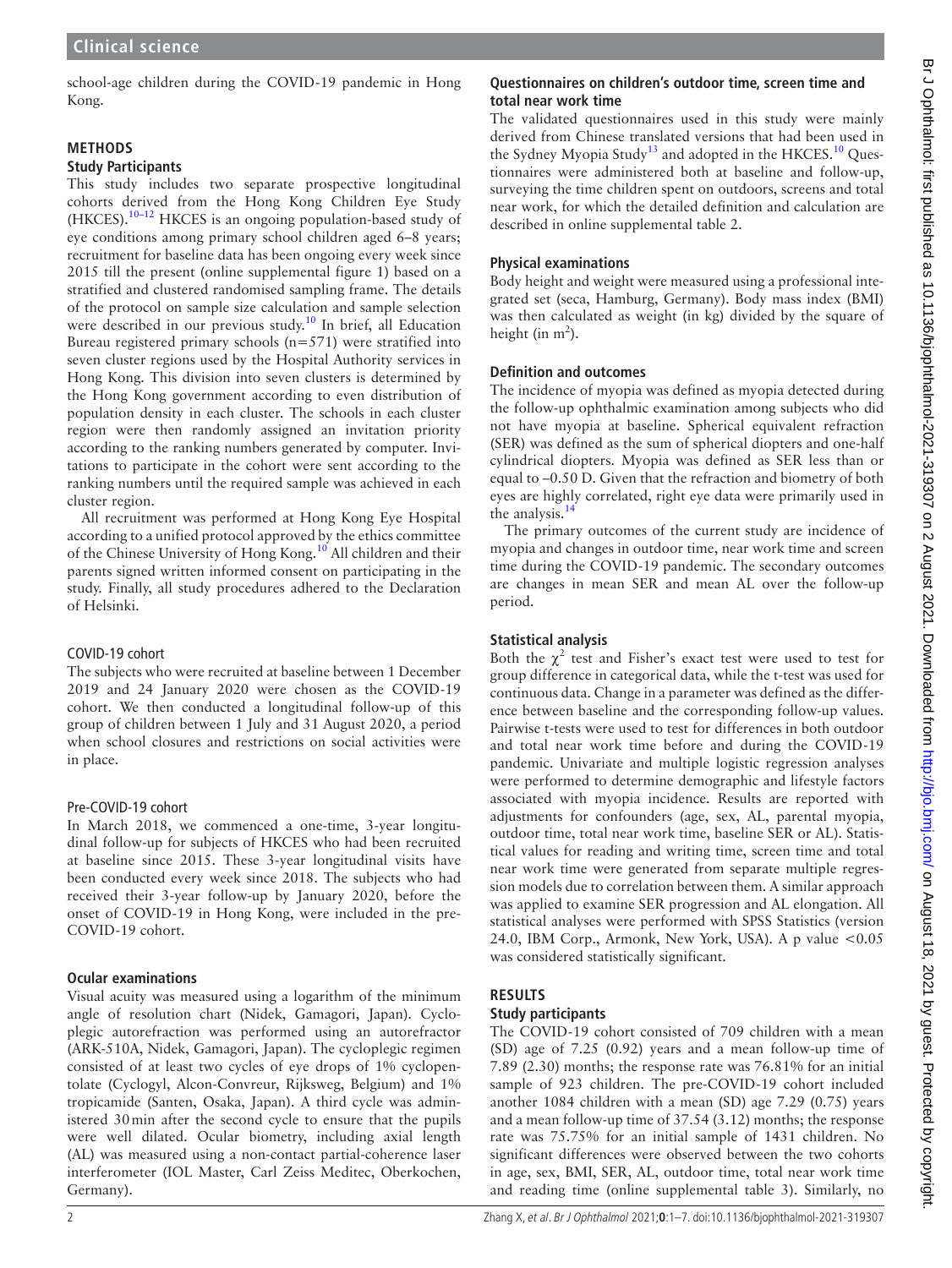school-age children during the COVID-19 pandemic in Hong Kong.

# **METHODS**

# **Study Participants**

This study includes two separate prospective longitudinal cohorts derived from the Hong Kong Children Eye Study (HKCES)[.10–12](#page-5-8) HKCES is an ongoing population-based study of eye conditions among primary school children aged 6–8 years; recruitment for baseline data has been ongoing every week since 2015 till the present [\(online supplemental figure 1\)](https://dx.doi.org/10.1136/bjophthalmol-2021-319307) based on a stratified and clustered randomised sampling frame. The details of the protocol on sample size calculation and sample selection were described in our previous study.<sup>10</sup> In brief, all Education Bureau registered primary schools  $(n=571)$  were stratified into seven cluster regions used by the Hospital Authority services in Hong Kong. This division into seven clusters is determined by the Hong Kong government according to even distribution of population density in each cluster. The schools in each cluster region were then randomly assigned an invitation priority according to the ranking numbers generated by computer. Invitations to participate in the cohort were sent according to the ranking numbers until the required sample was achieved in each cluster region.

All recruitment was performed at Hong Kong Eye Hospital according to a unified protocol approved by the ethics committee of the Chinese University of Hong Kong.<sup>10</sup> All children and their parents signed written informed consent on participating in the study. Finally, all study procedures adhered to the Declaration of Helsinki.

## COVID-19 cohort

The subjects who were recruited at baseline between 1 December 2019 and 24 January 2020 were chosen as the COVID-19 cohort. We then conducted a longitudinal follow-up of this group of children between 1 July and 31 August 2020, a period when school closures and restrictions on social activities were in place.

## Pre-COVID-19 cohort

In March 2018, we commenced a one-time, 3-year longitudinal follow-up for subjects of HKCES who had been recruited at baseline since 2015. These 3-year longitudinal visits have been conducted every week since 2018. The subjects who had received their 3-year follow-up by January 2020, before the onset of COVID-19 in Hong Kong, were included in the pre-COVID-19 cohort.

# **Ocular examinations**

Visual acuity was measured using a logarithm of the minimum angle of resolution chart (Nidek, Gamagori, Japan). Cycloplegic autorefraction was performed using an autorefractor (ARK-510A, Nidek, Gamagori, Japan). The cycloplegic regimen consisted of at least two cycles of eye drops of 1% cyclopentolate (Cyclogyl, Alcon-Convreur, Rijksweg, Belgium) and 1% tropicamide (Santen, Osaka, Japan). A third cycle was administered 30min after the second cycle to ensure that the pupils were well dilated. Ocular biometry, including axial length (AL) was measured using a non-contact partial-coherence laser interferometer (IOL Master, Carl Zeiss Meditec, Oberkochen, Germany).

# **Questionnaires on children's outdoor time, screen time and total near work time**

The validated questionnaires used in this study were mainly derived from Chinese translated versions that had been used in the Sydney Myopia Study<sup>13</sup> and adopted in the HKCES.<sup>10</sup> Questionnaires were administered both at baseline and follow-up, surveying the time children spent on outdoors, screens and total near work, for which the detailed definition and calculation are described in [online supplemental table 2](https://dx.doi.org/10.1136/bjophthalmol-2021-319307).

# **Physical examinations**

Body height and weight were measured using a professional integrated set (seca, Hamburg, Germany). Body mass index (BMI) was then calculated as weight (in kg) divided by the square of height (in  $m^2$ ).

# **Definition and outcomes**

The incidence of myopia was defined as myopia detected during the follow-up ophthalmic examination among subjects who did not have myopia at baseline. Spherical equivalent refraction (SER) was defined as the sum of spherical diopters and one-half cylindrical diopters. Myopia was defined as SER less than or equal to –0.50 D. Given that the refraction and biometry of both eyes are highly correlated, right eye data were primarily used in the analysis[.14](#page-6-1)

The primary outcomes of the current study are incidence of myopia and changes in outdoor time, near work time and screen time during the COVID-19 pandemic. The secondary outcomes are changes in mean SER and mean AL over the follow-up period.

# **Statistical analysis**

Both the  $\chi^2$  test and Fisher's exact test were used to test for group difference in categorical data, while the t-test was used for continuous data. Change in a parameter was defined as the difference between baseline and the corresponding follow-up values. Pairwise t-tests were used to test for differences in both outdoor and total near work time before and during the COVID-19 pandemic. Univariate and multiple logistic regression analyses were performed to determine demographic and lifestyle factors associated with myopia incidence. Results are reported with adjustments for confounders (age, sex, AL, parental myopia, outdoor time, total near work time, baseline SER or AL). Statistical values for reading and writing time, screen time and total near work time were generated from separate multiple regression models due to correlation between them. A similar approach was applied to examine SER progression and AL elongation. All statistical analyses were performed with SPSS Statistics (version 24.0, IBM Corp., Armonk, New York, USA). A p value <0.05 was considered statistically significant.

# **RESULTS**

# **Study participants**

The COVID-19 cohort consisted of 709 children with a mean (SD) age of 7.25 (0.92) years and a mean follow-up time of 7.89 (2.30) months; the response rate was 76.81% for an initial sample of 923 children. The pre-COVID-19 cohort included another 1084 children with a mean (SD) age 7.29 (0.75) years and a mean follow-up time of 37.54 (3.12) months; the response rate was 75.75% for an initial sample of 1431 children. No significant differences were observed between the two cohorts in age, sex, BMI, SER, AL, outdoor time, total near work time and reading time [\(online supplemental table 3\)](https://dx.doi.org/10.1136/bjophthalmol-2021-319307). Similarly, no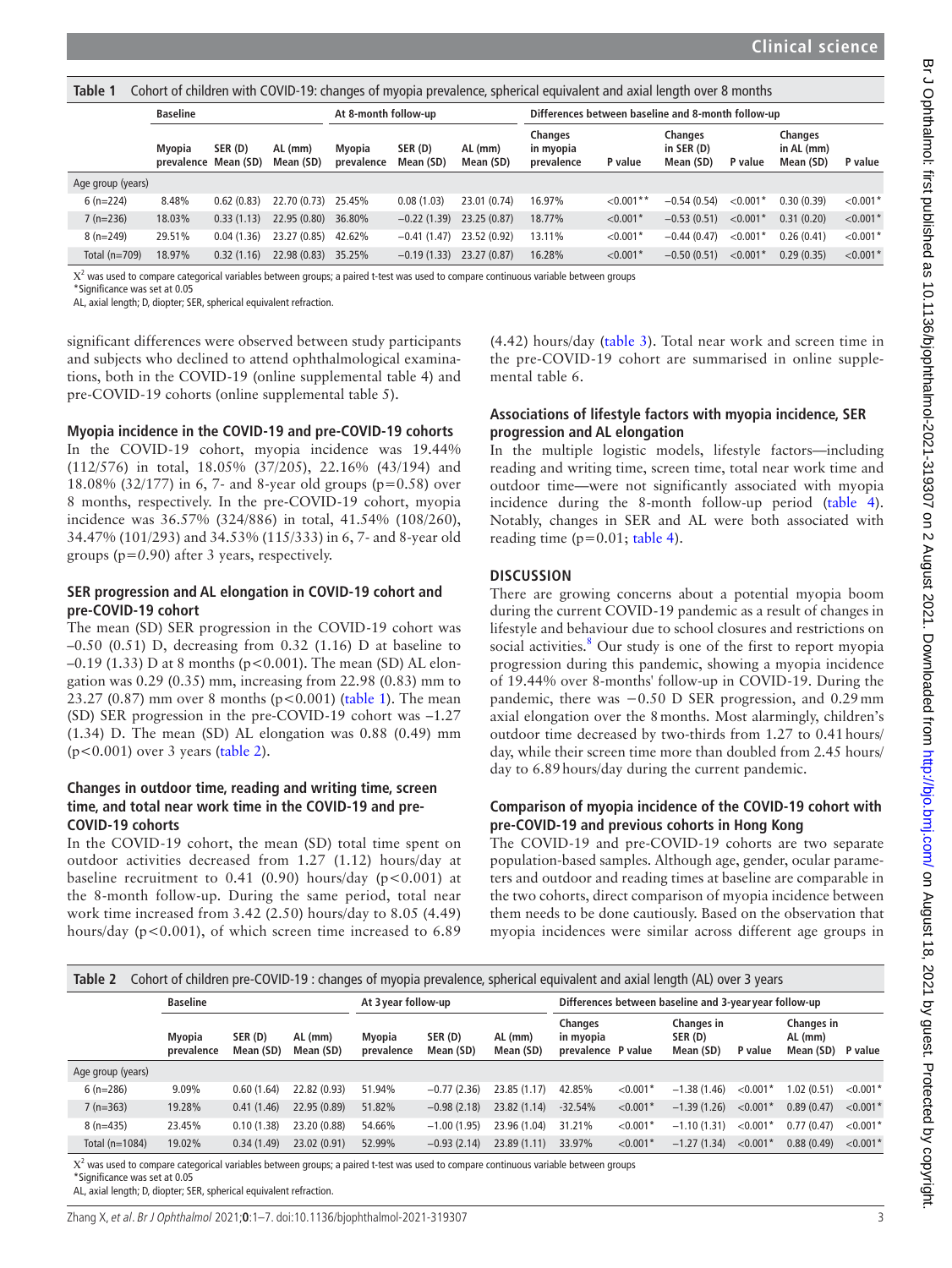<span id="page-2-0"></span>**Table 1** Cohort of children with COVID-19: changes of myopia prevalence, spherical equivalent and axial length over 8 months

|                   |                 | <b>Baseline</b>                |            | At 8-month follow-up |                      | Differences between baseline and 8-month follow-up |                        |                                    |             |                                            |            |                                           |                        |
|-------------------|-----------------|--------------------------------|------------|----------------------|----------------------|----------------------------------------------------|------------------------|------------------------------------|-------------|--------------------------------------------|------------|-------------------------------------------|------------------------|
|                   |                 | Myopia<br>prevalence Mean (SD) | SER (D)    | AL (mm)<br>Mean (SD) | Myopia<br>prevalence | SER (D)<br>Mean (SD)                               | $AL$ (mm)<br>Mean (SD) | Changes<br>in myopia<br>prevalence | P value     | <b>Changes</b><br>in $SER(D)$<br>Mean (SD) | P value    | <b>Changes</b><br>in AL (mm)<br>Mean (SD) | P value                |
| Age group (years) |                 |                                |            |                      |                      |                                                    |                        |                                    |             |                                            |            |                                           |                        |
|                   | $6(n=224)$      | 8.48%                          | 0.62(0.83) | 22.70 (0.73)         | 25.45%               | 0.08(1.03)                                         | 23.01 (0.74)           | 16.97%                             | $< 0.001**$ | $-0.54(0.54)$                              | $< 0.001*$ | 0.30(0.39)                                | < 0.001                |
|                   | $7(n=236)$      | 18.03%                         | 0.33(1.13) | 22.95(0.80)          | 36.80%               | $-0.22(1.39)$                                      | 23.25 (0.87)           | 18.77%                             | $< 0.001*$  | $-0.53(0.51)$                              | $< 0.001*$ | 0.31(0.20)                                | $< 0.001$ <sup>*</sup> |
|                   | $8(n=249)$      | 29.51%                         | 0.04(1.36) | 23.27 (0.85)         | 42.62%               | $-0.41(1.47)$                                      | 23.52 (0.92)           | 13.11%                             | $< 0.001*$  | $-0.44(0.47)$                              | $< 0.001*$ | 0.26(0.41)                                | $< 0.001$ <sup>*</sup> |
|                   | Total $(n=709)$ | 18.97%                         | 0.32(1.16) | 22.98 (0.83)         | 35.25%               | $-0.19(1.33)$                                      | 23.27 (0.87)           | 16.28%                             | $< 0.001*$  | $-0.50(0.51)$                              | $< 0.001*$ | 0.29(0.35)                                | $< 0.001$ <sup>*</sup> |
|                   |                 |                                |            |                      |                      |                                                    |                        |                                    |             |                                            |            |                                           |                        |

 $X^2$  was used to compare categorical variables between groups; a paired t-test was used to compare continuous variable between groups

\*Significance was set at 0.05

AL, axial length; D, diopter; SER, spherical equivalent refraction.

significant differences were observed between study participants and subjects who declined to attend ophthalmological examinations, both in the COVID-19 [\(online supplemental table 4\)](https://dx.doi.org/10.1136/bjophthalmol-2021-319307) and pre-COVID-19 cohorts ([online supplemental table 5](https://dx.doi.org/10.1136/bjophthalmol-2021-319307)).

#### **Myopia incidence in the COVID-19 and pre-COVID-19 cohorts**

In the COVID-19 cohort, myopia incidence was 19.44% (112/576) in total, 18.05% (37/205), 22.16% (43/194) and 18.08% (32/177) in 6, 7- and 8-year old groups (p=0.58) over 8 months, respectively. In the pre-COVID-19 cohort, myopia incidence was 36.57% (324/886) in total, 41.54% (108/260), 34.47% (101/293) and 34.53% (115/333) in 6, 7- and 8-year old groups (p=*0*.90) after 3 years, respectively.

#### **SER progression and AL elongation in COVID-19 cohort and pre-COVID-19 cohort**

The mean (SD) SER progression in the COVID-19 cohort was –0.50 (0.51) D, decreasing from 0.32 (1.16) D at baseline to  $-0.19$  (1.33) D at 8 months (p<0.001). The mean (SD) AL elongation was 0.29 (0.35) mm, increasing from 22.98 (0.83) mm to 23.27 (0.87) mm over 8 months ( $p < 0.001$ ) ([table](#page-2-0) 1). The mean (SD) SER progression in the pre-COVID-19 cohort was –1.27 (1.34) D. The mean (SD) AL elongation was 0.88 (0.49) mm (p<0.001) over 3 years ([table](#page-2-1) 2).

#### **Changes in outdoor time, reading and writing time, screen time, and total near work time in the COVID-19 and pre-COVID-19 cohorts**

In the COVID-19 cohort, the mean (SD) total time spent on outdoor activities decreased from 1.27 (1.12) hours/day at baseline recruitment to  $0.41$  (0.90) hours/day (p<0.001) at the 8-month follow-up. During the same period, total near work time increased from 3.42 (2.50) hours/day to 8.05 (4.49) hours/day (p<0.001), of which screen time increased to 6.89

(4.42) hours/day [\(table](#page-3-0) 3). Total near work and screen time in the pre-COVID-19 cohort are summarised in [online supple](https://dx.doi.org/10.1136/bjophthalmol-2021-319307)[mental table 6.](https://dx.doi.org/10.1136/bjophthalmol-2021-319307)

## **Associations of lifestyle factors with myopia incidence, SER progression and AL elongation**

In the multiple logistic models, lifestyle factors—including reading and writing time, screen time, total near work time and outdoor time—were not significantly associated with myopia incidence during the 8-month follow-up period ([table](#page-3-1) 4). Notably, changes in SER and AL were both associated with reading time  $(p=0.01;$  [table](#page-3-1) 4).

## **DISCUSSION**

There are growing concerns about a potential myopia boom during the current COVID-19 pandemic as a result of changes in lifestyle and behaviour due to school closures and restrictions on social activities.<sup>8</sup> Our study is one of the first to report myopia progression during this pandemic, showing a myopia incidence of 19.44% over 8-months' follow-up in COVID-19. During the pandemic, there was −0.50 D SER progression, and 0.29mm axial elongation over the 8months. Most alarmingly, children's outdoor time decreased by two-thirds from 1.27 to 0.41hours/ day, while their screen time more than doubled from 2.45 hours/ day to 6.89hours/day during the current pandemic.

## **Comparison of myopia incidence of the COVID-19 cohort with pre-COVID-19 and previous cohorts in Hong Kong**

The COVID-19 and pre-COVID-19 cohorts are two separate population-based samples. Although age, gender, ocular parameters and outdoor and reading times at baseline are comparable in the two cohorts, direct comparison of myopia incidence between them needs to be done cautiously. Based on the observation that myopia incidences were similar across different age groups in

<span id="page-2-1"></span>

| Cohort of children pre-COVID-19 : changes of myopia prevalence, spherical equivalent and axial length (AL) over 3 years<br>Table 2 |                      |                     |                        |                      |                      |                      |                                                        |            |                                    |            |                                    |            |
|------------------------------------------------------------------------------------------------------------------------------------|----------------------|---------------------|------------------------|----------------------|----------------------|----------------------|--------------------------------------------------------|------------|------------------------------------|------------|------------------------------------|------------|
|                                                                                                                                    | <b>Baseline</b>      |                     |                        | At 3 year follow-up  |                      |                      | Differences between baseline and 3-year year follow-up |            |                                    |            |                                    |            |
|                                                                                                                                    | Myopia<br>prevalence | SER(D)<br>Mean (SD) | $AL$ (mm)<br>Mean (SD) | Myopia<br>prevalence | SER (D)<br>Mean (SD) | AL (mm)<br>Mean (SD) | <b>Changes</b><br>in myopia<br>prevalence P value      |            | Changes in<br>SER (D)<br>Mean (SD) | P value    | Changes in<br>AL (mm)<br>Mean (SD) | P value    |
| Age group (years)                                                                                                                  |                      |                     |                        |                      |                      |                      |                                                        |            |                                    |            |                                    |            |
| $6(n=286)$                                                                                                                         | 9.09%                | 0.60(1.64)          | 22.82 (0.93)           | 51.94%               | $-0.77(2.36)$        | 23.85 (1.17)         | 42.85%                                                 | $<$ 0.001* | $-1.38(1.46)$                      | $< 0.001*$ | 1.02(0.51)                         | $< 0.001*$ |
| $7(n=363)$                                                                                                                         | 19.28%               | 0.41(1.46)          | 22.95 (0.89)           | 51.82%               | $-0.98(2.18)$        | 23.82 (1.14)         | $-32.54%$                                              | $< 0.001*$ | $-1.39(1.26)$                      | $< 0.001*$ | 0.89(0.47)                         | $< 0.001*$ |
| $8(n=435)$                                                                                                                         | 23.45%               | 0.10(1.38)          | 23.20 (0.88)           | 54.66%               | $-1.00(1.95)$        | 23.96 (1.04)         | 31.21%                                                 | $< 0.001*$ | $-1.10(1.31)$                      | $< 0.001*$ | 0.77(0.47)                         | $< 0.001*$ |
| Total $(n=1084)$                                                                                                                   | 19.02%               | 0.34(1.49)          | 23.02 (0.91)           | 52.99%               | $-0.93(2.14)$        | 23.89(1.11)          | 33.97%                                                 | $< 0.001*$ | $-1.27(1.34)$                      | $< 0.001*$ | 0.88(0.49)                         | $< 0.001*$ |

 $X^2$  was used to compare categorical variables between groups; a paired t-test was used to compare continuous variable between groups

\*Significance was set at 0.05

AL, axial length; D, diopter; SER, spherical equivalent refraction.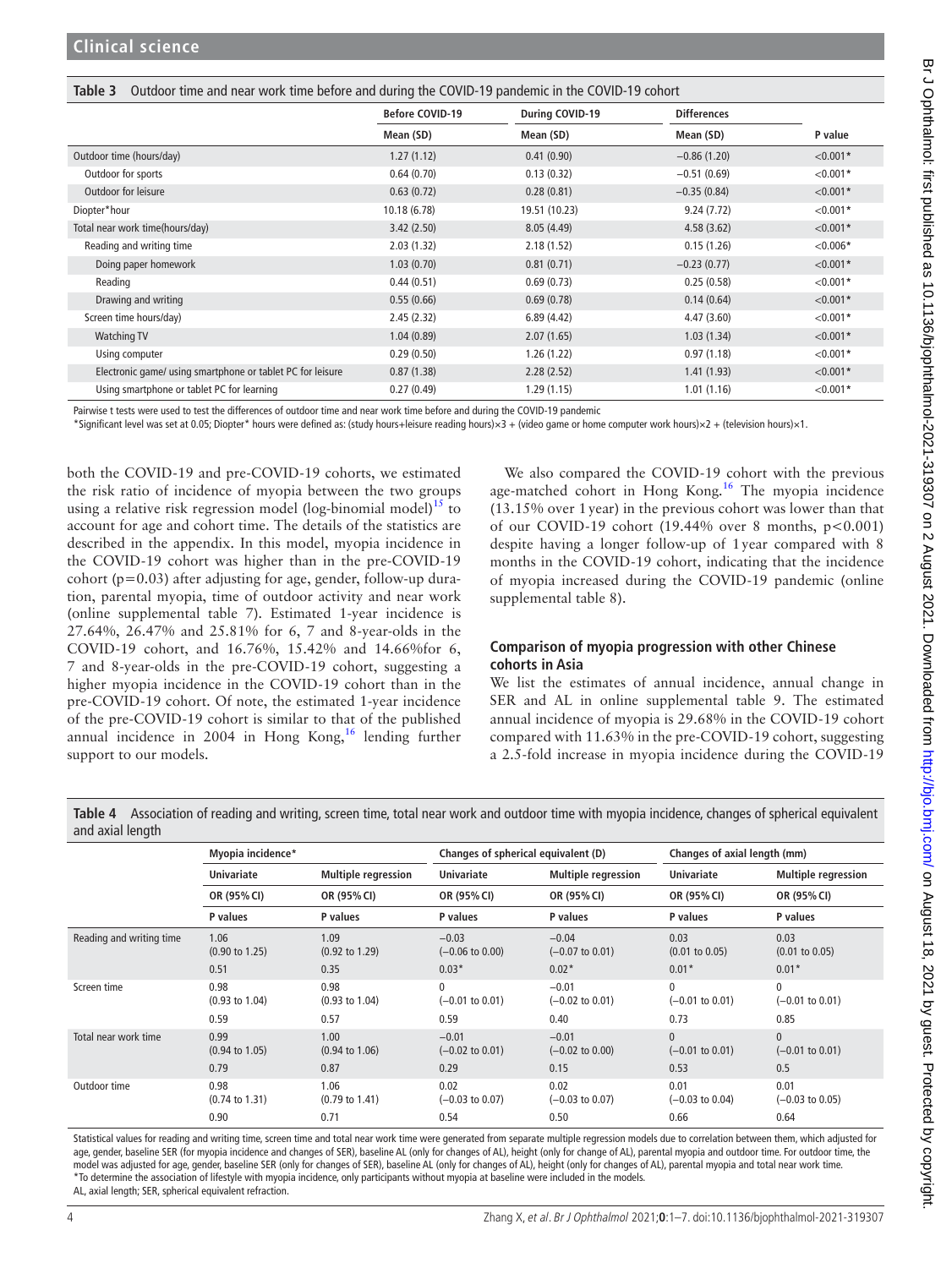<span id="page-3-0"></span>

|  | Table 3 Outdoor time and near work time before and during the COVID-19 pandemic in the COVID-19 cohort |
|--|--------------------------------------------------------------------------------------------------------|

|                                                            | <b>Before COVID-19</b> | During COVID-19 | <b>Differences</b> |             |
|------------------------------------------------------------|------------------------|-----------------|--------------------|-------------|
|                                                            | Mean (SD)              | Mean (SD)       | Mean (SD)          | P value     |
| Outdoor time (hours/day)                                   | 1.27(1.12)             | 0.41(0.90)      | $-0.86(1.20)$      | $< 0.001*$  |
| Outdoor for sports                                         | 0.64(0.70)             | 0.13(0.32)      | $-0.51(0.69)$      | $< 0.001*$  |
| Outdoor for leisure                                        | 0.63(0.72)             | 0.28(0.81)      | $-0.35(0.84)$      | $< 0.001*$  |
| Diopter*hour                                               | 10.18 (6.78)           | 19.51 (10.23)   | 9.24(7.72)         | $< 0.001*$  |
| Total near work time(hours/day)                            | 3.42(2.50)             | 8.05(4.49)      | 4.58(3.62)         | $< 0.001*$  |
| Reading and writing time                                   | 2.03(1.32)             | 2.18(1.52)      | 0.15(1.26)         | ${<}0.006*$ |
| Doing paper homework                                       | 1.03(0.70)             | 0.81(0.71)      | $-0.23(0.77)$      | $< 0.001*$  |
| Reading                                                    | 0.44(0.51)             | 0.69(0.73)      | 0.25(0.58)         | $< 0.001*$  |
| Drawing and writing                                        | 0.55(0.66)             | 0.69(0.78)      | 0.14(0.64)         | $< 0.001*$  |
| Screen time hours/day)                                     | 2.45(2.32)             | 6.89(4.42)      | 4.47(3.60)         | $< 0.001*$  |
| <b>Watching TV</b>                                         | 1.04(0.89)             | 2.07(1.65)      | 1.03(1.34)         | $< 0.001*$  |
| Using computer                                             | 0.29(0.50)             | 1.26(1.22)      | 0.97(1.18)         | $< 0.001*$  |
| Electronic game/ using smartphone or tablet PC for leisure | 0.87(1.38)             | 2.28(2.52)      | 1.41(1.93)         | $< 0.001*$  |
| Using smartphone or tablet PC for learning                 | 0.27(0.49)             | 1.29(1.15)      | 1.01(1.16)         | $< 0.001*$  |

Pairwise t tests were used to test the differences of outdoor time and near work time before and during the COVID-19 pandemic

\*Significant level was set at 0.05; Diopter\* hours were defined as: (study hours+leisure reading hours)×3 + (video game or home computer work hours)×2 + (television hours)×1.

both the COVID-19 and pre-COVID-19 cohorts, we estimated the risk ratio of incidence of myopia between the two groups using a relative risk regression model (log-binomial model)<sup>15</sup> to account for age and cohort time. The details of the statistics are described in the appendix. In this model, myopia incidence in the COVID-19 cohort was higher than in the pre-COVID-19 cohort ( $p=0.03$ ) after adjusting for age, gender, follow-up duration, parental myopia, time of outdoor activity and near work ([online supplemental table 7\)](https://dx.doi.org/10.1136/bjophthalmol-2021-319307). Estimated 1-year incidence is 27.64%, 26.47% and 25.81% for 6, 7 and 8-year-olds in the COVID-19 cohort, and 16.76%, 15.42% and 14.66%for 6, 7 and 8-year-olds in the pre-COVID-19 cohort, suggesting a higher myopia incidence in the COVID-19 cohort than in the pre-COVID-19 cohort. Of note, the estimated 1-year incidence of the pre-COVID-19 cohort is similar to that of the published annual incidence in 2004 in Hong Kong,<sup>[16](#page-6-3)</sup> lending further support to our models.

We also compared the COVID-19 cohort with the previous age-matched cohort in Hong Kong.<sup>[16](#page-6-3)</sup> The myopia incidence (13.15% over 1year) in the previous cohort was lower than that of our COVID-19 cohort  $(19.44\%$  over 8 months,  $p < 0.001$ ) despite having a longer follow-up of 1year compared with 8 months in the COVID-19 cohort, indicating that the incidence of myopia increased during the COVID-19 pandemic [\(online](https://dx.doi.org/10.1136/bjophthalmol-2021-319307) [supplemental table 8](https://dx.doi.org/10.1136/bjophthalmol-2021-319307)).

## **Comparison of myopia progression with other Chinese cohorts in Asia**

We list the estimates of annual incidence, annual change in SER and AL in [online supplemental table 9](https://dx.doi.org/10.1136/bjophthalmol-2021-319307). The estimated annual incidence of myopia is 29.68% in the COVID-19 cohort compared with 11.63% in the pre-COVID-19 cohort, suggesting a 2.5-fold increase in myopia incidence during the COVID-19

<span id="page-3-1"></span>**Table 4** Association of reading and writing, screen time, total near work and outdoor time with myopia incidence, changes of spherical equivalent and axial length

|                          | Myopia incidence*                 |                                   | Changes of spherical equivalent (D)        |                                       | Changes of axial length (mm)               |                                            |  |
|--------------------------|-----------------------------------|-----------------------------------|--------------------------------------------|---------------------------------------|--------------------------------------------|--------------------------------------------|--|
|                          | <b>Univariate</b>                 | <b>Multiple regression</b>        | <b>Univariate</b>                          | <b>Multiple regression</b>            | <b>Univariate</b>                          | <b>Multiple regression</b>                 |  |
|                          | OR (95% CI)                       | OR (95% CI)                       | OR (95% CI)                                | OR (95% CI)                           | OR (95% CI)                                | OR (95% CI)                                |  |
|                          | P values                          | P values                          | P values                                   | P values                              | P values                                   | P values                                   |  |
| Reading and writing time | 1.06<br>$(0.90 \text{ to } 1.25)$ | 1.09<br>$(0.92 \text{ to } 1.29)$ | $-0.03$<br>$(-0.06 \text{ to } 0.00)$      | $-0.04$<br>$(-0.07 \text{ to } 0.01)$ | 0.03<br>$(0.01 \text{ to } 0.05)$          | 0.03<br>$(0.01 \text{ to } 0.05)$          |  |
|                          | 0.51                              | 0.35                              | $0.03*$                                    | $0.02*$                               | $0.01*$                                    | $0.01*$                                    |  |
| Screen time              | 0.98<br>$(0.93 \text{ to } 1.04)$ | 0.98<br>$(0.93 \text{ to } 1.04)$ | $\mathbf{0}$<br>$(-0.01 \text{ to } 0.01)$ | $-0.01$<br>$(-0.02 \text{ to } 0.01)$ | $\mathbf{0}$<br>$(-0.01 \text{ to } 0.01)$ | $\mathbf{0}$<br>$(-0.01 \text{ to } 0.01)$ |  |
|                          | 0.59                              | 0.57                              | 0.59                                       | 0.40                                  | 0.73                                       | 0.85                                       |  |
| Total near work time     | 0.99<br>$(0.94 \text{ to } 1.05)$ | 1.00<br>$(0.94 \text{ to } 1.06)$ | $-0.01$<br>$(-0.02 \text{ to } 0.01)$      | $-0.01$<br>$(-0.02 \text{ to } 0.00)$ | $\mathbf{0}$<br>$(-0.01 \text{ to } 0.01)$ | $\mathbf{0}$<br>$(-0.01 \text{ to } 0.01)$ |  |
|                          | 0.79                              | 0.87                              | 0.29                                       | 0.15                                  | 0.53                                       | 0.5                                        |  |
| Outdoor time             | 0.98<br>$(0.74 \text{ to } 1.31)$ | 1.06<br>$(0.79 \text{ to } 1.41)$ | 0.02<br>$(-0.03 \text{ to } 0.07)$         | 0.02<br>$(-0.03 \text{ to } 0.07)$    | 0.01<br>$(-0.03 \text{ to } 0.04)$         | 0.01<br>$(-0.03 \text{ to } 0.05)$         |  |
|                          | 0.90                              | 0.71                              | 0.54                                       | 0.50                                  | 0.66                                       | 0.64                                       |  |

Statistical values for reading and writing time, screen time and total near work time were generated from separate multiple regression models due to correlation between them, which adjusted for age, gender, baseline SER (for myopia incidence and changes of SER), baseline AL (only for changes of AL), height (only for change of AL), parental myopia and outdoor time. For outdoor time, the model was adjusted for age, gender, baseline SER (only for changes of SER), baseline AL (only for changes of AL), height (only for changes of AL), parental myopia and total near work time. \*To determine the association of lifestyle with myopia incidence, only participants without myopia at baseline were included in the models. AL, axial length: SER, spherical equivalent refraction.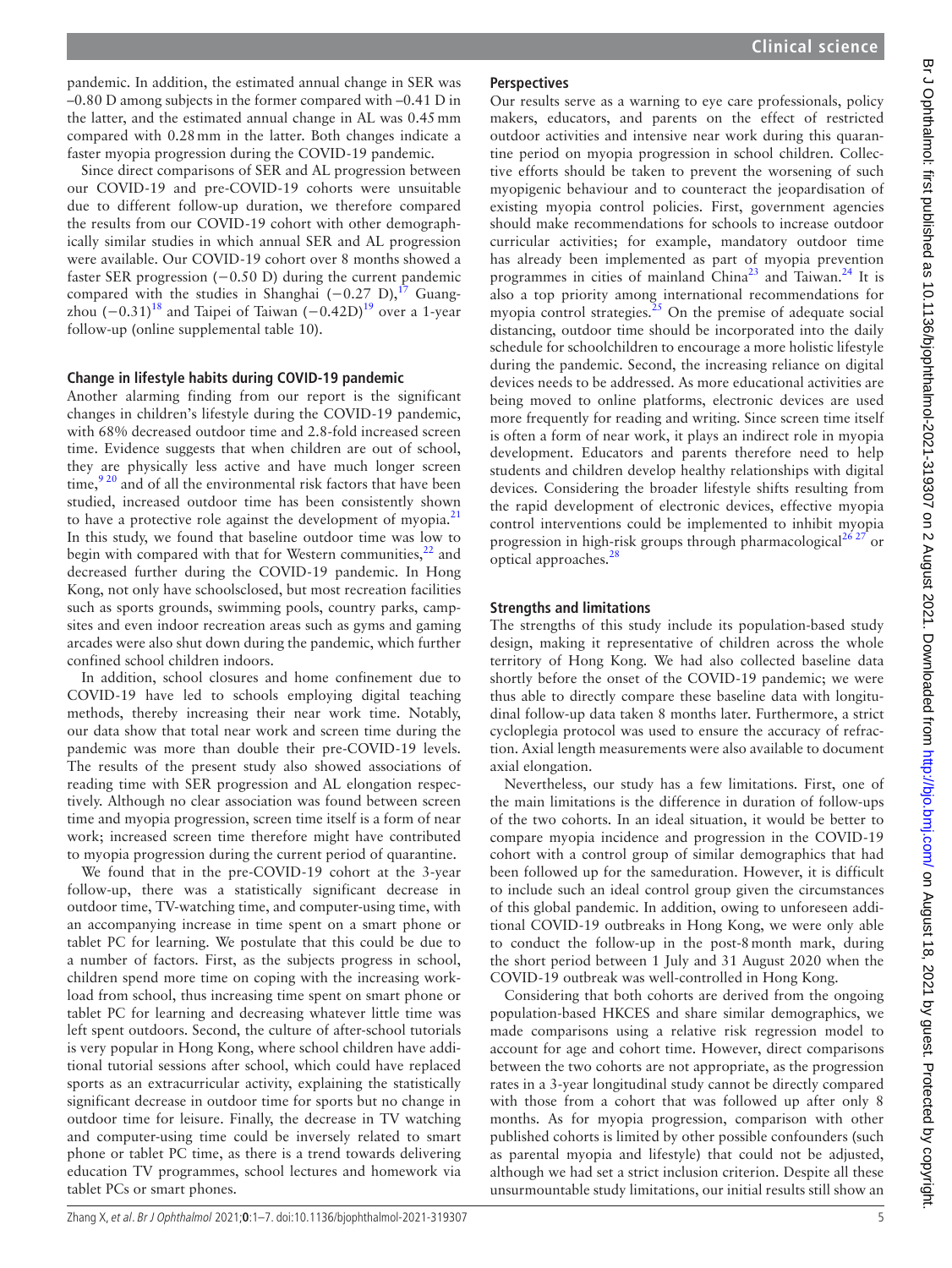pandemic. In addition, the estimated annual change in SER was –0.80 D among subjects in the former compared with –0.41 D in the latter, and the estimated annual change in AL was 0.45mm compared with 0.28mm in the latter. Both changes indicate a faster myopia progression during the COVID-19 pandemic.

Since direct comparisons of SER and AL progression between our COVID-19 and pre-COVID-19 cohorts were unsuitable due to different follow-up duration, we therefore compared the results from our COVID-19 cohort with other demographically similar studies in which annual SER and AL progression were available. Our COVID-19 cohort over 8 months showed a faster SER progression  $(-0.50 \text{ D})$  during the current pandemic compared with the studies in Shanghai (−0.27 D),<sup>17</sup> Guangzhou  $(-0.31)^{18}$  $(-0.31)^{18}$  $(-0.31)^{18}$  and Taipei of Taiwan  $(-0.42D)^{19}$  over a 1-year follow-up [\(online supplemental table 10\)](https://dx.doi.org/10.1136/bjophthalmol-2021-319307).

## **Change in lifestyle habits during COVID-19 pandemic**

Another alarming finding from our report is the significant changes in children's lifestyle during the COVID-19 pandemic, with 68% decreased outdoor time and 2.8-fold increased screen time. Evidence suggests that when children are out of school, they are physically less active and have much longer screen time, $\frac{920}{20}$  and of all the environmental risk factors that have been studied, increased outdoor time has been consistently shown to have a protective role against the development of myopia. $^{21}$  $^{21}$  $^{21}$ In this study, we found that baseline outdoor time was low to begin with compared with that for Western communities, $^{22}$  and decreased further during the COVID-19 pandemic. In Hong Kong, not only have schoolsclosed, but most recreation facilities such as sports grounds, swimming pools, country parks, campsites and even indoor recreation areas such as gyms and gaming arcades were also shut down during the pandemic, which further confined school children indoors.

In addition, school closures and home confinement due to COVID-19 have led to schools employing digital teaching methods, thereby increasing their near work time. Notably, our data show that total near work and screen time during the pandemic was more than double their pre-COVID-19 levels. The results of the present study also showed associations of reading time with SER progression and AL elongation respectively. Although no clear association was found between screen time and myopia progression, screen time itself is a form of near work; increased screen time therefore might have contributed to myopia progression during the current period of quarantine.

We found that in the pre-COVID-19 cohort at the 3-year follow-up, there was a statistically significant decrease in outdoor time, TV-watching time, and computer-using time, with an accompanying increase in time spent on a smart phone or tablet PC for learning. We postulate that this could be due to a number of factors. First, as the subjects progress in school, children spend more time on coping with the increasing workload from school, thus increasing time spent on smart phone or tablet PC for learning and decreasing whatever little time was left spent outdoors. Second, the culture of after-school tutorials is very popular in Hong Kong, where school children have additional tutorial sessions after school, which could have replaced sports as an extracurricular activity, explaining the statistically significant decrease in outdoor time for sports but no change in outdoor time for leisure. Finally, the decrease in TV watching and computer-using time could be inversely related to smart phone or tablet PC time, as there is a trend towards delivering education TV programmes, school lectures and homework via tablet PCs or smart phones.

## **Perspectives**

Our results serve as a warning to eye care professionals, policy makers, educators, and parents on the effect of restricted outdoor activities and intensive near work during this quarantine period on myopia progression in school children. Collective efforts should be taken to prevent the worsening of such myopigenic behaviour and to counteract the jeopardisation of existing myopia control policies. First, government agencies should make recommendations for schools to increase outdoor curricular activities; for example, mandatory outdoor time has already been implemented as part of myopia prevention programmes in cities of mainland China<sup>23</sup> and Taiwan.<sup>24</sup> It is also a top priority among international recommendations for myopia control strategies.<sup>25</sup> On the premise of adequate social distancing, outdoor time should be incorporated into the daily schedule for schoolchildren to encourage a more holistic lifestyle during the pandemic. Second, the increasing reliance on digital devices needs to be addressed. As more educational activities are being moved to online platforms, electronic devices are used more frequently for reading and writing. Since screen time itself is often a form of near work, it plays an indirect role in myopia development. Educators and parents therefore need to help students and children develop healthy relationships with digital devices. Considering the broader lifestyle shifts resulting from the rapid development of electronic devices, effective myopia control interventions could be implemented to inhibit myopia progression in high-risk groups through pharmacological<sup>26 27</sup> or optical approaches.<sup>28</sup>

## **Strengths and limitations**

The strengths of this study include its population-based study design, making it representative of children across the whole territory of Hong Kong. We had also collected baseline data shortly before the onset of the COVID-19 pandemic; we were thus able to directly compare these baseline data with longitudinal follow-up data taken 8 months later. Furthermore, a strict cycloplegia protocol was used to ensure the accuracy of refraction. Axial length measurements were also available to document axial elongation.

Nevertheless, our study has a few limitations. First, one of the main limitations is the difference in duration of follow-ups of the two cohorts. In an ideal situation, it would be better to compare myopia incidence and progression in the COVID-19 cohort with a control group of similar demographics that had been followed up for the sameduration. However, it is difficult to include such an ideal control group given the circumstances of this global pandemic. In addition, owing to unforeseen additional COVID-19 outbreaks in Hong Kong, we were only able to conduct the follow-up in the post-8month mark, during the short period between 1 July and 31 August 2020 when the COVID-19 outbreak was well-controlled in Hong Kong.

Considering that both cohorts are derived from the ongoing population-based HKCES and share similar demographics, we made comparisons using a relative risk regression model to account for age and cohort time. However, direct comparisons between the two cohorts are not appropriate, as the progression rates in a 3-year longitudinal study cannot be directly compared with those from a cohort that was followed up after only 8 months. As for myopia progression, comparison with other published cohorts is limited by other possible confounders (such as parental myopia and lifestyle) that could not be adjusted, although we had set a strict inclusion criterion. Despite all these unsurmountable study limitations, our initial results still show an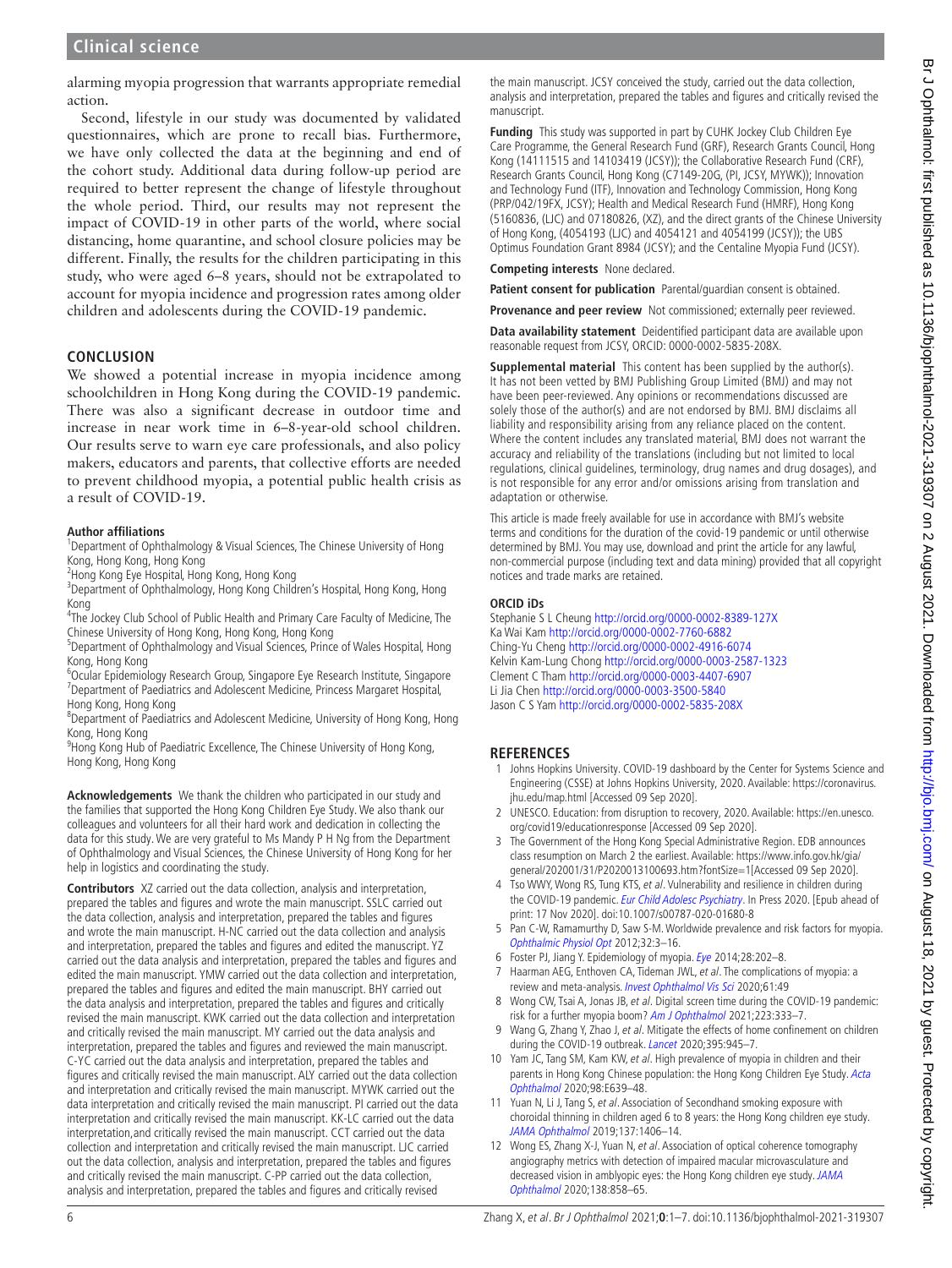alarming myopia progression that warrants appropriate remedial action.

Second, lifestyle in our study was documented by validated questionnaires, which are prone to recall bias. Furthermore, we have only collected the data at the beginning and end of the cohort study. Additional data during follow-up period are required to better represent the change of lifestyle throughout the whole period. Third, our results may not represent the impact of COVID-19 in other parts of the world, where social distancing, home quarantine, and school closure policies may be different. Finally, the results for the children participating in this study, who were aged 6–8 years, should not be extrapolated to account for myopia incidence and progression rates among older children and adolescents during the COVID-19 pandemic.

## **CONCLUSION**

We showed a potential increase in myopia incidence among schoolchildren in Hong Kong during the COVID-19 pandemic. There was also a significant decrease in outdoor time and increase in near work time in 6–8-year-old school children. Our results serve to warn eye care professionals, and also policy makers, educators and parents, that collective efforts are needed to prevent childhood myopia, a potential public health crisis as a result of COVID-19.

#### **Author affiliations**

<sup>1</sup>Department of Ophthalmology & Visual Sciences, The Chinese University of Hong Kong, Hong Kong, Hong Kong

2 Hong Kong Eye Hospital, Hong Kong, Hong Kong

<sup>3</sup>Department of Ophthalmology, Hong Kong Children's Hospital, Hong Kong, Hong Kong

<sup>4</sup>The Jockey Club School of Public Health and Primary Care Faculty of Medicine, The Chinese University of Hong Kong, Hong Kong, Hong Kong

<sup>5</sup>Department of Ophthalmology and Visual Sciences, Prince of Wales Hospital, Hong Kong, Hong Kong

6 Ocular Epidemiology Research Group, Singapore Eye Research Institute, Singapore <sup>7</sup>Department of Paediatrics and Adolescent Medicine, Princess Margaret Hospital, Hong Kong, Hong Kong

<sup>8</sup>Department of Paediatrics and Adolescent Medicine, University of Hong Kong, Hong Kong, Hong Kong

<sup>9</sup> Hong Kong Hub of Paediatric Excellence, The Chinese University of Hong Kong, Hong Kong, Hong Kong

**Acknowledgements** We thank the children who participated in our study and the families that supported the Hong Kong Children Eye Study. We also thank our colleagues and volunteers for all their hard work and dedication in collecting the data for this study. We are very grateful to Ms Mandy P H Ng from the Department of Ophthalmology and Visual Sciences, the Chinese University of Hong Kong for her help in logistics and coordinating the study.

**Contributors** XZ carried out the data collection, analysis and interpretation, prepared the tables and figures and wrote the main manuscript. SSLC carried out the data collection, analysis and interpretation, prepared the tables and figures and wrote the main manuscript. H-NC carried out the data collection and analysis and interpretation, prepared the tables and figures and edited the manuscript. YZ carried out the data analysis and interpretation, prepared the tables and figures and edited the main manuscript. YMW carried out the data collection and interpretation, prepared the tables and figures and edited the main manuscript. BHY carried out the data analysis and interpretation, prepared the tables and figures and critically revised the main manuscript. KWK carried out the data collection and interpretation and critically revised the main manuscript. MY carried out the data analysis and interpretation, prepared the tables and figures and reviewed the main manuscript. C-YC carried out the data analysis and interpretation, prepared the tables and figures and critically revised the main manuscript. ALY carried out the data collection and interpretation and critically revised the main manuscript. MYWK carried out the data interpretation and critically revised the main manuscript. PI carried out the data interpretation and critically revised the main manuscript. KK-LC carried out the data interpretation,and critically revised the main manuscript. CCT carried out the data collection and interpretation and critically revised the main manuscript. LJC carried out the data collection, analysis and interpretation, prepared the tables and figures and critically revised the main manuscript. C-PP carried out the data collection, analysis and interpretation, prepared the tables and figures and critically revised

the main manuscript. JCSY conceived the study, carried out the data collection, analysis and interpretation, prepared the tables and figures and critically revised the manuscript.

**Funding** This study was supported in part by CUHK Jockey Club Children Eye Care Programme, the General Research Fund (GRF), Research Grants Council, Hong Kong (14111515 and 14103419 (JCSY)); the Collaborative Research Fund (CRF), Research Grants Council, Hong Kong (C7149-20G, (PI, JCSY, MYWK)); Innovation and Technology Fund (ITF), Innovation and Technology Commission, Hong Kong (PRP/042/19FX, JCSY); Health and Medical Research Fund (HMRF), Hong Kong (5160836, (LJC) and 07180826, (XZ), and the direct grants of the Chinese University of Hong Kong, (4054193 (LJC) and 4054121 and 4054199 (JCSY)); the UBS Optimus Foundation Grant 8984 (JCSY); and the Centaline Myopia Fund (JCSY).

**Competing interests** None declared.

Patient consent for publication Parental/quardian consent is obtained.

Provenance and peer review Not commissioned; externally peer reviewed.

**Data availability statement** Deidentified participant data are available upon reasonable request from JCSY, ORCID: 0000-0002-5835-208X.

**Supplemental material** This content has been supplied by the author(s). It has not been vetted by BMJ Publishing Group Limited (BMJ) and may not have been peer-reviewed. Any opinions or recommendations discussed are solely those of the author(s) and are not endorsed by BMJ. BMJ disclaims all liability and responsibility arising from any reliance placed on the content. Where the content includes any translated material, BMJ does not warrant the accuracy and reliability of the translations (including but not limited to local regulations, clinical guidelines, terminology, drug names and drug dosages), and is not responsible for any error and/or omissions arising from translation and adaptation or otherwise.

This article is made freely available for use in accordance with BMJ's website terms and conditions for the duration of the covid-19 pandemic or until otherwise determined by BMJ. You may use, download and print the article for any lawful, non-commercial purpose (including text and data mining) provided that all copyright notices and trade marks are retained.

#### **ORCID iDs**

Stephanie S L Cheung<http://orcid.org/0000-0002-8389-127X> Ka Wai Kam <http://orcid.org/0000-0002-7760-6882> Ching-Yu Cheng<http://orcid.org/0000-0002-4916-6074> Kelvin Kam-Lung Chong<http://orcid.org/0000-0003-2587-1323> Clement C Tham<http://orcid.org/0000-0003-4407-6907> Li Jia Chen <http://orcid.org/0000-0003-3500-5840> Jason C S Yam<http://orcid.org/0000-0002-5835-208X>

# **REFERENCES**

- <span id="page-5-0"></span>1 Johns Hopkins University. COVID-19 dashboard by the Center for Systems Science and Engineering (CSSE) at Johns Hopkins University, 2020. Available: [https://coronavirus.](https://coronavirus.jhu.edu/map.html) [jhu.edu/map.html](https://coronavirus.jhu.edu/map.html) [Accessed 09 Sep 2020].
- <span id="page-5-1"></span>2 UNESCO. Education: from disruption to recovery, 2020. Available: [https://en.unesco.](https://en.unesco.org/covid19/educationresponse) [org/covid19/educationresponse](https://en.unesco.org/covid19/educationresponse) [Accessed 09 Sep 2020].
- <span id="page-5-2"></span>3 The Government of the Hong Kong Special Administrative Region. EDB announces class resumption on March 2 the earliest. Available: [https://www.info.gov.hk/gia/](https://www.info.gov.hk/gia/general/202001/31/P2020013100693.htm?fontSize=1) [general/202001/31/P2020013100693.htm?fontSize=1\[](https://www.info.gov.hk/gia/general/202001/31/P2020013100693.htm?fontSize=1)Accessed 09 Sep 2020].
- <span id="page-5-3"></span>4 Tso WWY, Wong RS, Tung KTS, et al. Vulnerability and resilience in children during the COVID-19 pandemic. [Eur Child Adolesc Psychiatry](http://dx.doi.org/10.1007/s00787-020-01680-8). In Press 2020. [Epub ahead of print: 17 Nov 2020]. doi:10.1007/s00787-020-01680-8
- <span id="page-5-4"></span>5 Pan C-W, Ramamurthy D, Saw S-M. Worldwide prevalence and risk factors for myopia. [Ophthalmic Physiol Opt](http://dx.doi.org/10.1111/j.1475-1313.2011.00884.x) 2012;32:3–16.
- <span id="page-5-5"></span>6 Foster PJ, Jiang Y. Epidemiology of myopia. [Eye](http://dx.doi.org/10.1038/eye.2013.280) 2014;28:202–8.
- <span id="page-5-6"></span>Haarman AEG, Enthoven CA, Tideman JWL, et al. The complications of myopia: a review and meta-analysis. [Invest Ophthalmol Vis Sci](http://dx.doi.org/10.1167/iovs.61.4.49) 2020;61:49
- <span id="page-5-7"></span>8 Wong CW, Tsai A, Jonas JB, et al. Digital screen time during the COVID-19 pandemic: risk for a further myopia boom? [Am J Ophthalmol](http://dx.doi.org/10.1016/j.ajo.2020.07.034) 2021;223:333-7.
- <span id="page-5-9"></span>9 Wang G, Zhang Y, Zhao J, et al. Mitigate the effects of home confinement on children during the COVID-19 outbreak. [Lancet](http://dx.doi.org/10.1016/S0140-6736(20)30547-X) 2020;395:945-7.
- <span id="page-5-8"></span>10 Yam JC, Tang SM, Kam KW, et al. High prevalence of myopia in children and their parents in Hong Kong Chinese population: the Hong Kong Children Eye Study. Acta [Ophthalmol](http://dx.doi.org/10.1111/aos.14350) 2020;98:E639–48.
- 11 Yuan N, Li J, Tang S, et al. Association of Secondhand smoking exposure with choroidal thinning in children aged 6 to 8 years: the Hong Kong children eye study. [JAMA Ophthalmol](http://dx.doi.org/10.1001/jamaophthalmol.2019.4178) 2019;137:1406–14.
- 12 Wong ES, Zhang X-J, Yuan N, et al. Association of optical coherence tomography angiography metrics with detection of impaired macular microvasculature and decreased vision in amblyopic eyes: the Hong Kong children eye study. [JAMA](http://dx.doi.org/10.1001/jamaophthalmol.2020.2220)  [Ophthalmol](http://dx.doi.org/10.1001/jamaophthalmol.2020.2220) 2020;138:858–65.